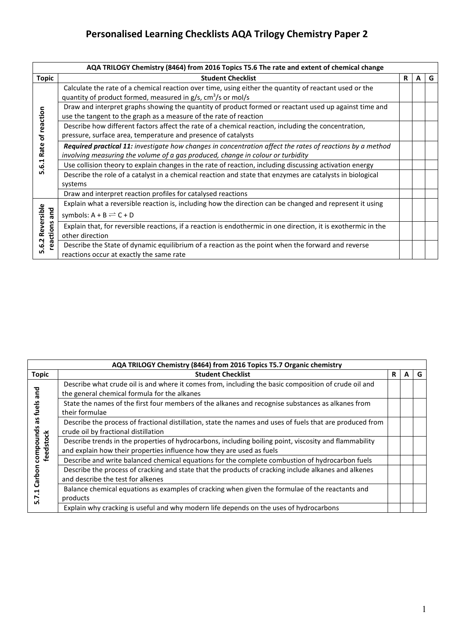## **Personalised Learning Checklists AQA Trilogy Chemistry Paper 2**

|                                        | AQA TRILOGY Chemistry (8464) from 2016 Topics T5.6 The rate and extent of chemical change                        |    |   |   |  |
|----------------------------------------|------------------------------------------------------------------------------------------------------------------|----|---|---|--|
| Topic                                  | <b>Student Checklist</b>                                                                                         | R. | A | G |  |
|                                        | Calculate the rate of a chemical reaction over time, using either the quantity of reactant used or the           |    |   |   |  |
|                                        | quantity of product formed, measured in $g/s$ , $cm3/s$ or mol/s                                                 |    |   |   |  |
| reaction<br>ቴ<br>Rate<br>٦.<br>ق.<br>م | Draw and interpret graphs showing the quantity of product formed or reactant used up against time and            |    |   |   |  |
|                                        | use the tangent to the graph as a measure of the rate of reaction                                                |    |   |   |  |
|                                        | Describe how different factors affect the rate of a chemical reaction, including the concentration,              |    |   |   |  |
|                                        | pressure, surface area, temperature and presence of catalysts                                                    |    |   |   |  |
|                                        | <b>Required practical 11:</b> investigate how changes in concentration affect the rates of reactions by a method |    |   |   |  |
|                                        | involving measuring the volume of a gas produced, change in colour or turbidity                                  |    |   |   |  |
|                                        | Use collision theory to explain changes in the rate of reaction, including discussing activation energy          |    |   |   |  |
|                                        | Describe the role of a catalyst in a chemical reaction and state that enzymes are catalysts in biological        |    |   |   |  |
|                                        | systems                                                                                                          |    |   |   |  |
|                                        | Draw and interpret reaction profiles for catalysed reactions                                                     |    |   |   |  |
| Reversible<br>and<br>reactions<br>6.2  | Explain what a reversible reaction is, including how the direction can be changed and represent it using         |    |   |   |  |
|                                        | symbols: $A + B \rightleftharpoons C + D$                                                                        |    |   |   |  |
|                                        | Explain that, for reversible reactions, if a reaction is endothermic in one direction, it is exothermic in the   |    |   |   |  |
|                                        | other direction                                                                                                  |    |   |   |  |
|                                        | Describe the State of dynamic equilibrium of a reaction as the point when the forward and reverse                |    |   |   |  |
| LO,                                    | reactions occur at exactly the same rate                                                                         |    |   |   |  |

| AQA TRILOGY Chemistry (8464) from 2016 Topics T5.7 Organic chemistry |                                                                                                                                                                                 |   |   |   |  |
|----------------------------------------------------------------------|---------------------------------------------------------------------------------------------------------------------------------------------------------------------------------|---|---|---|--|
| <b>Topic</b>                                                         | <b>Student Checklist</b>                                                                                                                                                        | R | A | G |  |
| pare<br>uels<br>Sβ<br>compounds<br>feedstock                         | Describe what crude oil is and where it comes from, including the basic composition of crude oil and<br>the general chemical formula for the alkanes                            |   |   |   |  |
|                                                                      | State the names of the first four members of the alkanes and recognise substances as alkanes from<br>their formulae                                                             |   |   |   |  |
|                                                                      | Describe the process of fractional distillation, state the names and uses of fuels that are produced from<br>crude oil by fractional distillation                               |   |   |   |  |
|                                                                      | Describe trends in the properties of hydrocarbons, including boiling point, viscosity and flammability<br>and explain how their properties influence how they are used as fuels |   |   |   |  |
|                                                                      | Describe and write balanced chemical equations for the complete combustion of hydrocarbon fuels                                                                                 |   |   |   |  |
| noque<br>Ű<br>ų<br>r.                                                | Describe the process of cracking and state that the products of cracking include alkanes and alkenes<br>and describe the test for alkenes                                       |   |   |   |  |
|                                                                      | Balance chemical equations as examples of cracking when given the formulae of the reactants and<br>products                                                                     |   |   |   |  |
|                                                                      | Explain why cracking is useful and why modern life depends on the uses of hydrocarbons                                                                                          |   |   |   |  |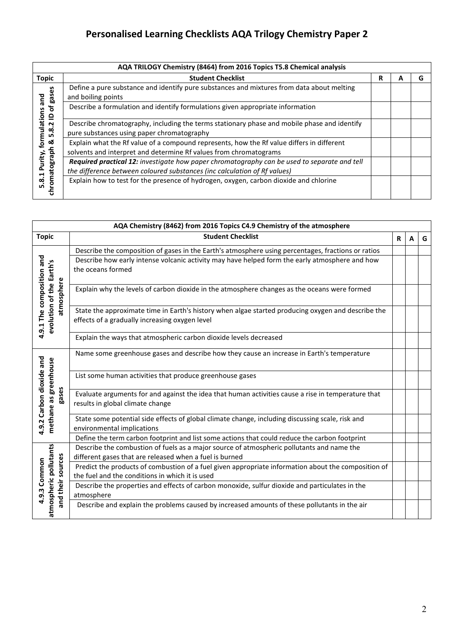## **Personalised Learning Checklists AQA Trilogy Chemistry Paper 2**

| AQA TRILOGY Chemistry (8464) from 2016 Topics T5.8 Chemical analysis                                                   |                                                                                                                                                                           |   |  |   |  |
|------------------------------------------------------------------------------------------------------------------------|---------------------------------------------------------------------------------------------------------------------------------------------------------------------------|---|--|---|--|
| <b>Topic</b>                                                                                                           | <b>Student Checklist</b>                                                                                                                                                  | R |  | G |  |
| gases<br>pue<br>ō<br>formulations<br>$\mathbf{r}$<br>Ņ<br>5.8<br>త<br>tograph<br>Purity,<br>$\overline{8.1}$<br>ဥ<br>동 | Define a pure substance and identify pure substances and mixtures from data about melting<br>and boiling points                                                           |   |  |   |  |
|                                                                                                                        | Describe a formulation and identify formulations given appropriate information                                                                                            |   |  |   |  |
|                                                                                                                        | Describe chromatography, including the terms stationary phase and mobile phase and identify<br>pure substances using paper chromatography                                 |   |  |   |  |
|                                                                                                                        | Explain what the Rf value of a compound represents, how the Rf value differs in different<br>solvents and interpret and determine Rf values from chromatograms            |   |  |   |  |
|                                                                                                                        | Required practical 12: investigate how paper chromatography can be used to separate and tell<br>the difference between coloured substances (inc calculation of Rf values) |   |  |   |  |
|                                                                                                                        | Explain how to test for the presence of hydrogen, oxygen, carbon dioxide and chlorine                                                                                     |   |  |   |  |

<u> 1989 - Johann Stoff, amerikansk politiker (d. 1989)</u>

| AQA Chemistry (8462) from 2016 Topics C4.9 Chemistry of the atmosphere |                                                                                                                                                        |   |   |   |  |
|------------------------------------------------------------------------|--------------------------------------------------------------------------------------------------------------------------------------------------------|---|---|---|--|
| <b>Topic</b>                                                           | <b>Student Checklist</b>                                                                                                                               | R | A | G |  |
|                                                                        | Describe the composition of gases in the Earth's atmosphere using percentages, fractions or ratios                                                     |   |   |   |  |
| 4.9.1 The composition and                                              | Describe how early intense volcanic activity may have helped form the early atmosphere and how<br>the oceans formed                                    |   |   |   |  |
| atmosphere                                                             | Explain why the levels of carbon dioxide in the atmosphere changes as the oceans were formed                                                           |   |   |   |  |
| evolution of the Earth's                                               | State the approximate time in Earth's history when algae started producing oxygen and describe the<br>effects of a gradually increasing oxygen level   |   |   |   |  |
|                                                                        | Explain the ways that atmospheric carbon dioxide levels decreased                                                                                      |   |   |   |  |
|                                                                        | Name some greenhouse gases and describe how they cause an increase in Earth's temperature                                                              |   |   |   |  |
|                                                                        | List some human activities that produce greenhouse gases                                                                                               |   |   |   |  |
| 4.9.2 Carbon dioxide and<br>methane as greenhouse<br>gases             | Evaluate arguments for and against the idea that human activities cause a rise in temperature that<br>results in global climate change                 |   |   |   |  |
|                                                                        | State some potential side effects of global climate change, including discussing scale, risk and<br>environmental implications                         |   |   |   |  |
|                                                                        | Define the term carbon footprint and list some actions that could reduce the carbon footprint                                                          |   |   |   |  |
|                                                                        | Describe the combustion of fuels as a major source of atmospheric pollutants and name the<br>different gases that are released when a fuel is burned   |   |   |   |  |
|                                                                        | Predict the products of combustion of a fuel given appropriate information about the composition of<br>the fuel and the conditions in which it is used |   |   |   |  |
| atmospheric pollutants<br>and their sources<br>4.9.3 Common            | Describe the properties and effects of carbon monoxide, sulfur dioxide and particulates in the<br>atmosphere                                           |   |   |   |  |
|                                                                        | Describe and explain the problems caused by increased amounts of these pollutants in the air                                                           |   |   |   |  |